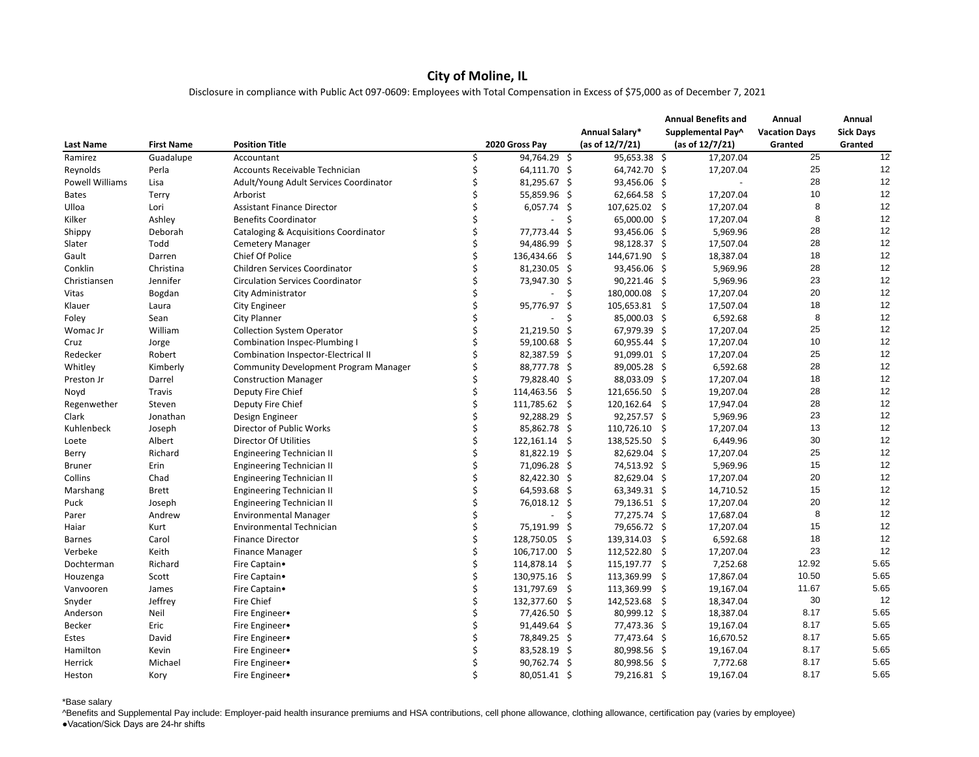## **City of Moline, IL**

Disclosure in compliance with Public Act 097-0609: Employees with Total Compensation in Excess of \$75,000 as of December 7, 2021

|                        |                   |                                                  |                |    |                    |    | <b>Annual Benefits and</b> | Annual               | Annual           |
|------------------------|-------------------|--------------------------------------------------|----------------|----|--------------------|----|----------------------------|----------------------|------------------|
|                        |                   |                                                  |                |    | Annual Salary*     |    | Supplemental Pay^          | <b>Vacation Days</b> | <b>Sick Days</b> |
| <b>Last Name</b>       | <b>First Name</b> | <b>Position Title</b>                            | 2020 Gross Pay |    | (as of $12/7/21$ ) |    | (as of 12/7/21)            | Granted              | Granted          |
| Ramirez                | Guadalupe         | Accountant                                       | 94,764.29 \$   |    | $95,653.38$ \$     |    | 17,207.04                  | 25                   | 12               |
| Reynolds               | Perla             | Accounts Receivable Technician                   | 64,111.70 \$   |    | 64,742.70 \$       |    | 17,207.04                  | 25                   | 12               |
| <b>Powell Williams</b> | Lisa              | Adult/Young Adult Services Coordinator           | 81,295.67 \$   |    | 93,456.06 \$       |    |                            | 28                   | 12               |
| <b>Bates</b>           | <b>Terry</b>      | Arborist                                         | 55,859.96 \$   |    | 62,664.58 \$       |    | 17,207.04                  | 10                   | 12               |
| Ulloa                  | Lori              | <b>Assistant Finance Director</b>                | $6,057.74$ \$  |    | 107,625.02 \$      |    | 17,207.04                  |                      | 12               |
| Kilker                 | Ashley            | <b>Benefits Coordinator</b>                      |                |    | 65,000.00 \$       |    | 17,207.04                  |                      | 12               |
| Shippy                 | Deborah           | <b>Cataloging &amp; Acquisitions Coordinator</b> | 77,773.44 \$   |    | 93,456.06 \$       |    | 5,969.96                   | 28                   | 12               |
| Slater                 | Todd              | <b>Cemetery Manager</b>                          | 94,486.99 \$   |    | 98,128.37 \$       |    | 17,507.04                  | 28                   | 12               |
| Gault                  | Darren            | Chief Of Police                                  | 136,434.66 \$  |    | 144,671.90         | -S | 18,387.04                  | 18                   | 12               |
| Conklin                | Christina         | Children Services Coordinator                    | 81,230.05 \$   |    | 93,456.06 \$       |    | 5,969.96                   | 28                   | 12               |
| Christiansen           | Jennifer          | <b>Circulation Services Coordinator</b>          | 73,947.30 \$   |    | $90,221.46$ \$     |    | 5,969.96                   | 23                   | 12               |
| Vitas                  | Bogdan            | City Administrator                               |                | -S | 180,000.08         | -Ş | 17,207.04                  | 20                   | 12               |
| Klauer                 | Laura             | <b>City Engineer</b>                             | 95,776.97 \$   |    | 105,653.81         | -S | 17,507.04                  | 18                   | 12               |
| Foley                  | Sean              | <b>City Planner</b>                              |                |    | 85,000.03 \$       |    | 6,592.68                   | 8                    | 12               |
| Womac Jr               | William           | <b>Collection System Operator</b>                | 21,219.50 \$   |    | 67,979.39 \$       |    | 17,207.04                  | 25                   | 12               |
|                        |                   |                                                  | 59,100.68 \$   |    | $60,955.44$ \$     |    | 17,207.04                  | 10                   | 12               |
| Cruz                   | Jorge<br>Robert   | <b>Combination Inspec-Plumbing I</b>             | 82,387.59 \$   |    | 91,099.01 \$       |    | 17,207.04                  | 25                   | 12               |
| Redecker               |                   | Combination Inspector-Electrical II              |                |    |                    |    |                            | 28                   | 12               |
| Whitley                | Kimberly          | <b>Community Development Program Manager</b>     | 88,777.78 \$   |    | 89,005.28 \$       |    | 6,592.68                   |                      |                  |
| Preston Jr             | Darrel            | <b>Construction Manager</b>                      | 79,828.40 \$   |    | 88,033.09 \$       |    | 17,207.04                  | 18                   | 12               |
| Noyd                   | <b>Travis</b>     | Deputy Fire Chief                                | 114,463.56 \$  |    | 121,656.50         | -S | 19,207.04                  | 28                   | 12               |
| Regenwether            | Steven            | Deputy Fire Chief                                | 111,785.62 \$  |    | 120,162.64 \$      |    | 17,947.04                  | 28                   | 12               |
| Clark                  | Jonathan          | Design Engineer                                  | $92,288.29$ \$ |    | $92,257.57$ \$     |    | 5,969.96                   | 23                   | 12               |
| Kuhlenbeck             | Joseph            | Director of Public Works                         | 85,862.78 \$   |    | 110,726.10         | S  | 17,207.04                  | 13                   | 12               |
| Loete                  | Albert            | <b>Director Of Utilities</b>                     | 122,161.14 \$  |    | 138,525.50 \$      |    | 6,449.96                   | 30                   | 12               |
| Berry                  | Richard           | <b>Engineering Technician II</b>                 | 81,822.19 \$   |    | 82,629.04 \$       |    | 17,207.04                  | 25                   | 12               |
| <b>Bruner</b>          | Erin              | <b>Engineering Technician II</b>                 | 71,096.28 \$   |    | 74,513.92 \$       |    | 5,969.96                   | 15                   | 12               |
| Collins                | Chad              | <b>Engineering Technician II</b>                 | 82,422.30 \$   |    | 82,629.04 \$       |    | 17,207.04                  | 20                   | 12               |
| Marshang               | <b>Brett</b>      | <b>Engineering Technician II</b>                 | 64,593.68 \$   |    | 63,349.31 \$       |    | 14,710.52                  | 15                   | 12               |
| Puck                   | Joseph            | <b>Engineering Technician II</b>                 | 76,018.12 \$   |    | 79,136.51 \$       |    | 17,207.04                  | 20                   | 12               |
| Parer                  | Andrew            | <b>Environmental Manager</b>                     |                | -Ş | 77,275.74 \$       |    | 17,687.04                  | ୪                    | 12               |
| Haiar                  | Kurt              | <b>Environmental Technician</b>                  | 75,191.99 \$   |    | 79,656.72 \$       |    | 17,207.04                  | 15                   | 12               |
| <b>Barnes</b>          | Carol             | <b>Finance Director</b>                          | 128,750.05 \$  |    | 139,314.03 \$      |    | 6,592.68                   | 18                   | 12               |
| Verbeke                | Keith             | <b>Finance Manager</b>                           | 106,717.00 \$  |    | 112,522.80 \$      |    | 17,207.04                  | 23                   | 12               |
| Dochterman             | Richard           | Fire Captain.                                    | 114,878.14 \$  |    | 115,197.77 \$      |    | 7,252.68                   | 12.92                | 5.65             |
| Houzenga               | Scott             | Fire Captain.                                    | 130,975.16 \$  |    | 113,369.99 \$      |    | 17,867.04                  | 10.50                | 5.65             |
| Vanvooren              | James             | Fire Captain.                                    | 131,797.69 \$  |    | 113,369.99 \$      |    | 19,167.04                  | 11.67                | 5.65             |
| Snyder                 | Jeffrey           | Fire Chief                                       | 132,377.60 \$  |    | 142,523.68 \$      |    | 18,347.04                  | 30                   | 12               |
| Anderson               | Neil              | Fire Engineer.                                   | 77,426.50 \$   |    | 80,999.12 \$       |    | 18,387.04                  | 8.17                 | 5.65             |
| Becker                 | Eric              | Fire Engineer.                                   | 91,449.64 \$   |    | 77,473.36 \$       |    | 19,167.04                  | 8.17                 | 5.65             |
| Estes                  | David             | Fire Engineer.                                   | 78,849.25 \$   |    | 77,473.64 \$       |    | 16,670.52                  | 8.17                 | 5.65             |
| Hamilton               | Kevin             | Fire Engineer.                                   | 83,528.19 \$   |    | 80,998.56 \$       |    | 19,167.04                  | 8.17                 | 5.65             |
|                        |                   |                                                  | 90,762.74 \$   |    |                    |    | 7,772.68                   | 8.17                 | 5.65             |
| Herrick                | Michael           | Fire Engineer.                                   |                |    | 80,998.56 \$       |    |                            | 8.17                 | 5.65             |
| Heston                 | Kory              | Fire Engineer.                                   | 80,051.41 \$   |    | 79,216.81 \$       |    | 19,167.04                  |                      |                  |

\*Base salary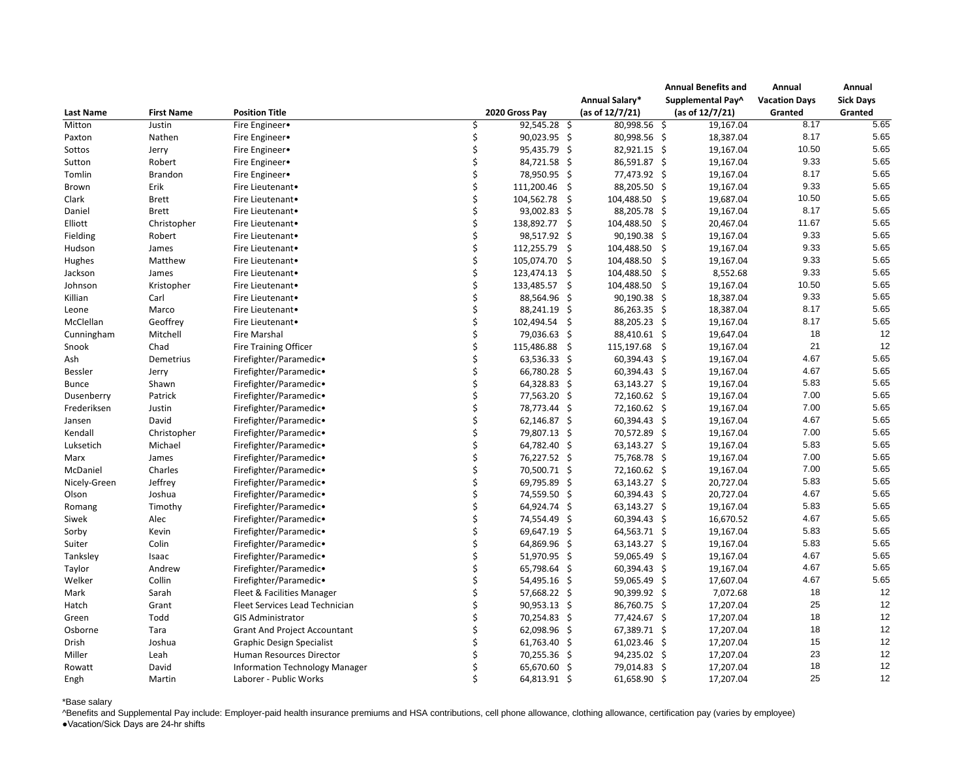|                  |                   |                                       |                |     |                 | <b>Annual Benefits and</b> | Annual               | Annual                      |
|------------------|-------------------|---------------------------------------|----------------|-----|-----------------|----------------------------|----------------------|-----------------------------|
|                  |                   |                                       |                |     | Annual Salary*  | Supplemental Pay^          | <b>Vacation Days</b> | <b>Sick Days</b><br>Granted |
| <b>Last Name</b> | <b>First Name</b> | <b>Position Title</b>                 | 2020 Gross Pay |     | (as of 12/7/21) | (as of $12/7/21$ )         | Granted              |                             |
| Mitton           | Justin            | Fire Engineer.                        | $92,545.28$ \$ |     | 80,998.56 \$    | 19,167.04                  | 8.17                 | 5.65                        |
| Paxton           | Nathen            | Fire Engineer•                        | 90,023.95 \$   |     | 80,998.56 \$    | 18,387.04                  | 8.17                 | 5.65                        |
| Sottos           | Jerry             | Fire Engineer.                        | 95,435.79 \$   |     | 82,921.15 \$    | 19,167.04                  | 10.50                | 5.65                        |
| Sutton           | Robert            | Fire Engineer.                        | 84,721.58 \$   |     | 86,591.87 \$    | 19,167.04                  | 9.33                 | 5.65                        |
| Tomlin           | <b>Brandon</b>    | Fire Engineer.                        | 78,950.95 \$   |     | 77,473.92 \$    | 19,167.04                  | 8.17                 | 5.65                        |
| Brown            | Erik              | Fire Lieutenant.                      | 111,200.46 \$  |     | 88,205.50 \$    | 19,167.04                  | 9.33                 | 5.65                        |
| Clark            | <b>Brett</b>      | Fire Lieutenant.                      | 104,562.78 \$  |     | 104,488.50      | 19,687.04<br>-S            | 10.50                | 5.65                        |
| Daniel           | <b>Brett</b>      | Fire Lieutenant.                      | 93,002.83 \$   |     | 88,205.78 \$    | 19,167.04                  | 8.17                 | 5.65                        |
| Elliott          | Christopher       | Fire Lieutenant.                      | 138,892.77 \$  |     | 104,488.50      | 20,467.04<br>-S            | 11.67                | 5.65                        |
| Fielding         | Robert            | Fire Lieutenant.                      | 98,517.92 \$   |     | 90,190.38 \$    | 19,167.04                  | 9.33                 | 5.65                        |
| Hudson           | James             | Fire Lieutenant.                      | 112,255.79     | -S  | 104,488.50      | 19,167.04<br>-S            | 9.33                 | 5.65                        |
| Hughes           | Matthew           | Fire Lieutenant.                      | 105,074.70 \$  |     | 104,488.50      | 19,167.04                  | 9.33                 | 5.65                        |
| Jackson          | James             | Fire Lieutenant.                      | 123,474.13 \$  |     | 104,488.50      | 8,552.68<br>-S             | 9.33                 | 5.65                        |
| Johnson          | Kristopher        | Fire Lieutenant.                      | 133,485.57     | - S | 104,488.50      | 19,167.04<br>-S            | 10.50                | 5.65                        |
| Killian          | Carl              | Fire Lieutenant.                      | 88,564.96 \$   |     | 90,190.38 \$    | 18,387.04                  | 9.33                 | 5.65                        |
| Leone            | Marco             | Fire Lieutenant.                      | 88,241.19 \$   |     | 86,263.35 \$    | 18,387.04                  | 8.17                 | 5.65                        |
| McClellan        | Geoffrey          | Fire Lieutenant.                      | 102,494.54 \$  |     | 88,205.23 \$    | 19,167.04                  | 8.17                 | 5.65                        |
| Cunningham       | Mitchell          | <b>Fire Marshal</b>                   | 79,036.63 \$   |     | 88,410.61 \$    | 19,647.04                  | 18                   | 12                          |
| Snook            | Chad              | <b>Fire Training Officer</b>          | 115,486.88 \$  |     | 115,197.68      | 19,167.04<br>-S            | 21                   | 12                          |
| Ash              | Demetrius         | Firefighter/Paramedic.                | 63,536.33 \$   |     | 60,394.43 \$    | 19,167.04                  | 4.67                 | 5.65                        |
| <b>Bessler</b>   | Jerry             | Firefighter/Paramedic.                | 66,780.28 \$   |     | 60,394.43 \$    | 19,167.04                  | 4.67                 | 5.65                        |
| <b>Bunce</b>     | Shawn             | Firefighter/Paramedic.                | 64,328.83 \$   |     | 63,143.27 \$    | 19,167.04                  | 5.83                 | 5.65                        |
| Dusenberry       | Patrick           | Firefighter/Paramedic.                | 77,563.20 \$   |     | 72,160.62 \$    | 19,167.04                  | 7.00                 | 5.65                        |
| Frederiksen      | Justin            | Firefighter/Paramedic.                | 78,773.44 \$   |     | 72,160.62 \$    | 19,167.04                  | 7.00                 | 5.65                        |
| Jansen           | David             | Firefighter/Paramedic.                | 62,146.87 \$   |     | 60,394.43 \$    | 19,167.04                  | 4.67                 | 5.65                        |
| Kendall          | Christopher       | Firefighter/Paramedic.                | 79,807.13 \$   |     | 70,572.89 \$    | 19,167.04                  | 7.00                 | 5.65                        |
| Luksetich        | Michael           | Firefighter/Paramedic.                | 64,782.40 \$   |     | 63,143.27 \$    | 19,167.04                  | 5.83                 | 5.65                        |
| Marx             | James             | Firefighter/Paramedic.                | 76,227.52 \$   |     | 75,768.78 \$    | 19,167.04                  | 7.00                 | 5.65                        |
| McDaniel         | Charles           | Firefighter/Paramedic.                | 70,500.71 \$   |     | 72,160.62 \$    | 19,167.04                  | 7.00                 | 5.65                        |
| Nicely-Green     | Jeffrey           | Firefighter/Paramedic.                | 69,795.89 \$   |     | 63,143.27 \$    | 20,727.04                  | 5.83                 | 5.65                        |
| Olson            | Joshua            | Firefighter/Paramedic.                | 74,559.50 \$   |     | 60,394.43 \$    | 20,727.04                  | 4.67                 | 5.65                        |
| Romang           | Timothy           | Firefighter/Paramedic.                | 64,924.74 \$   |     | 63,143.27 \$    | 19,167.04                  | 5.83                 | 5.65                        |
| Siwek            | Alec              | Firefighter/Paramedic.                | 74,554.49 \$   |     | 60,394.43 \$    | 16,670.52                  | 4.67                 | 5.65                        |
| Sorby            | Kevin             | Firefighter/Paramedic.                | 69,647.19 \$   |     | 64,563.71 \$    | 19,167.04                  | 5.83                 | 5.65                        |
| Suiter           | Colin             | Firefighter/Paramedic.                | 64,869.96 \$   |     | 63,143.27 \$    | 19,167.04                  | 5.83                 | 5.65                        |
| Tanksley         | Isaac             | Firefighter/Paramedic.                | 51,970.95 \$   |     | 59,065.49 \$    | 19,167.04                  | 4.67                 | 5.65                        |
| Taylor           | Andrew            | Firefighter/Paramedic.                | 65,798.64 \$   |     | 60,394.43 \$    | 19,167.04                  | 4.67                 | 5.65                        |
| Welker           | Collin            | Firefighter/Paramedic.                | 54,495.16 \$   |     | 59,065.49 \$    | 17,607.04                  | 4.67                 | 5.65                        |
| Mark             | Sarah             | Fleet & Facilities Manager            | 57,668.22 \$   |     | 90,399.92 \$    | 7,072.68                   | 18                   | 12                          |
| Hatch            | Grant             | Fleet Services Lead Technician        | 90,953.13 \$   |     | 86,760.75 \$    | 17,207.04                  | 25                   | 12                          |
| Green            | Todd              | <b>GIS Administrator</b>              | 70,254.83 \$   |     | 77,424.67 \$    | 17,207.04                  | 18                   | 12                          |
| Osborne          | Tara              | <b>Grant And Project Accountant</b>   | 62,098.96 \$   |     | 67,389.71 \$    | 17,207.04                  | 18                   | 12                          |
| Drish            | Joshua            | <b>Graphic Design Specialist</b>      | 61,763.40 \$   |     | 61,023.46 \$    | 17,207.04                  | 15                   | 12                          |
| Miller           | Leah              | Human Resources Director              | 70,255.36 \$   |     | 94,235.02 \$    | 17,207.04                  | 23                   | 12                          |
| Rowatt           | David             | <b>Information Technology Manager</b> | 65,670.60 \$   |     | 79,014.83 \$    | 17,207.04                  | 18                   | 12                          |
| Engh             | Martin            | Laborer - Public Works                | 64,813.91 \$   |     | 61,658.90 \$    | 17,207.04                  | 25                   | 12                          |

## \*Base salary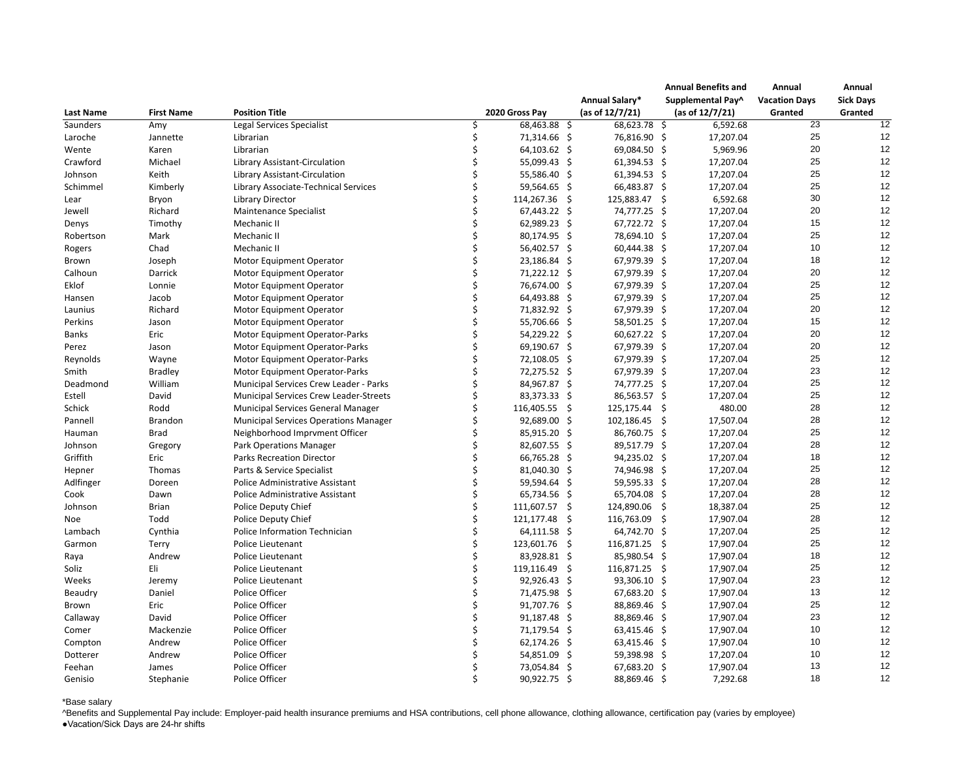|                  |                   |                                              |                |  |                 | <b>Annual Benefits and</b> | Annual               | Annual           |
|------------------|-------------------|----------------------------------------------|----------------|--|-----------------|----------------------------|----------------------|------------------|
| <b>Last Name</b> |                   |                                              |                |  | Annual Salary*  | Supplemental Pay^          | <b>Vacation Days</b> | <b>Sick Days</b> |
|                  | <b>First Name</b> | <b>Position Title</b>                        | 2020 Gross Pay |  | (as of 12/7/21) | (as of $12/7/21$ )         | Granted              | Granted          |
| Saunders         | Amy               | Legal Services Specialist                    | 68,463.88 \$   |  | 68,623.78 \$    | 6,592.68                   | $\overline{23}$      | 12               |
| Laroche          | Jannette          | Librarian                                    | 71,314.66 \$   |  | 76,816.90 \$    | 17,207.04                  | 25                   | 12               |
| Wente            | Karen             | Librarian                                    | $64,103.62$ \$ |  | 69,084.50 \$    | 5,969.96                   | 20                   | 12               |
| Crawford         | Michael           | Library Assistant-Circulation                | 55,099.43 \$   |  | $61,394.53$ \$  | 17,207.04                  | 25                   | 12               |
| Johnson          | Keith             | Library Assistant-Circulation                | 55,586.40 \$   |  | $61,394.53$ \$  | 17,207.04                  | 25                   | 12               |
| Schimmel         | Kimberly          | Library Associate-Technical Services         | 59,564.65 \$   |  | 66,483.87 \$    | 17,207.04                  | 25                   | 12               |
| Lear             | <b>Bryon</b>      | <b>Library Director</b>                      | 114,267.36 \$  |  | 125,883.47      | 6,592.68<br>-S             | 30                   | 12               |
| Jewell           | Richard           | Maintenance Specialist                       | $67,443.22$ \$ |  | 74,777.25 \$    | 17,207.04                  | 20                   | 12               |
| Denys            | Timothy           | Mechanic II                                  | 62,989.23 \$   |  | 67,722.72 \$    | 17,207.04                  | 15                   | 12               |
| Robertson        | Mark              | Mechanic II                                  | 80,174.95 \$   |  | 78,694.10 \$    | 17,207.04                  | 25                   | 12               |
| Rogers           | Chad              | Mechanic II                                  | 56,402.57 \$   |  | $60,444.38$ \$  | 17,207.04                  | 10                   | 12               |
| Brown            | Joseph            | <b>Motor Equipment Operator</b>              | 23,186.84 \$   |  | 67,979.39 \$    | 17,207.04                  | 18                   | 12               |
| Calhoun          | Darrick           | Motor Equipment Operator                     | 71,222.12 \$   |  | 67,979.39 \$    | 17,207.04                  | 20                   | 12               |
| Eklof            | Lonnie            | <b>Motor Equipment Operator</b>              | 76,674.00 \$   |  | 67,979.39 \$    | 17,207.04                  | 25                   | 12               |
| Hansen           | Jacob             | Motor Equipment Operator                     | 64,493.88 \$   |  | 67,979.39 \$    | 17,207.04                  | 25                   | 12               |
| Launius          | Richard           | Motor Equipment Operator                     | 71,832.92 \$   |  | 67,979.39 \$    | 17,207.04                  | 20                   | 12               |
| Perkins          | Jason             | <b>Motor Equipment Operator</b>              | 55,706.66 \$   |  | 58,501.25 \$    | 17,207.04                  | 15                   | 12               |
| <b>Banks</b>     | Eric              | Motor Equipment Operator-Parks               | 54,229.22 \$   |  | $60,627.22$ \$  | 17,207.04                  | 20                   | 12               |
| Perez            | Jason             | Motor Equipment Operator-Parks               | 69,190.67 \$   |  | 67,979.39 \$    | 17,207.04                  | 20                   | 12               |
| Reynolds         | Wayne             | Motor Equipment Operator-Parks               | 72,108.05 \$   |  | 67,979.39 \$    | 17,207.04                  | 25                   | 12               |
| Smith            | <b>Bradley</b>    | Motor Equipment Operator-Parks               | 72,275.52 \$   |  | 67,979.39 \$    | 17,207.04                  | 23                   | 12               |
| Deadmond         | William           | Municipal Services Crew Leader - Parks       | 84,967.87 \$   |  | 74,777.25 \$    | 17,207.04                  | 25                   | 12               |
| Estell           | David             | Municipal Services Crew Leader-Streets       | 83,373.33 \$   |  | 86,563.57 \$    | 17,207.04                  | 25                   | 12               |
| Schick           | Rodd              | <b>Municipal Services General Manager</b>    | 116,405.55 \$  |  | 125,175.44 \$   | 480.00                     | 28                   | 12               |
| Pannell          | <b>Brandon</b>    | <b>Municipal Services Operations Manager</b> | 92,689.00 \$   |  | 102,186.45      | 17,507.04<br>-S            | 28                   | 12               |
| Hauman           | <b>Brad</b>       | Neighborhood Imprvment Officer               | 85,915.20 \$   |  | 86,760.75 \$    | 17,207.04                  | 25                   | 12               |
| Johnson          | Gregory           | <b>Park Operations Manager</b>               | 82,607.55 \$   |  | 89,517.79 \$    | 17,207.04                  | 28                   | 12               |
| Griffith         | Eric              | <b>Parks Recreation Director</b>             | 66,765.28 \$   |  | 94,235.02 \$    | 17,207.04                  | 18                   | 12               |
| Hepner           | Thomas            | Parts & Service Specialist                   | 81,040.30 \$   |  | 74,946.98 \$    | 17,207.04                  | 25                   | 12               |
| Adlfinger        | Doreen            | Police Administrative Assistant              | 59,594.64 \$   |  | 59,595.33 \$    | 17,207.04                  | 28                   | 12               |
| Cook             | Dawn              | Police Administrative Assistant              | 65,734.56 \$   |  | 65,704.08 \$    | 17,207.04                  | 28                   | 12               |
| Johnson          | <b>Brian</b>      | Police Deputy Chief                          | 111,607.57 \$  |  | 124,890.06 \$   | 18,387.04                  | 25                   | 12               |
| Noe              | Todd              | Police Deputy Chief                          | 121,177.48 \$  |  | 116,763.09 \$   | 17,907.04                  | 28                   | 12               |
| Lambach          | Cynthia           | Police Information Technician                | $64,111.58$ \$ |  | 64,742.70 \$    | 17,207.04                  | 25                   | 12               |
| Garmon           | Terry             | Police Lieutenant                            | 123,601.76 \$  |  | 116,871.25 \$   | 17,907.04                  | 25                   | 12               |
| Raya             | Andrew            | Police Lieutenant                            | 83,928.81 \$   |  | 85,980.54 \$    | 17,907.04                  | 18                   | 12               |
| Soliz            | Eli               | Police Lieutenant                            | 119,116.49 \$  |  | 116,871.25      | 17,907.04<br>-S            | 25                   | 12               |
| Weeks            | Jeremy            | Police Lieutenant                            | $92,926.43$ \$ |  | 93,306.10 \$    | 17,907.04                  | 23                   | 12               |
| Beaudry          | Daniel            | Police Officer                               | 71,475.98 \$   |  | 67,683.20 \$    | 17,907.04                  | 13                   | 12               |
| Brown            | Eric              | Police Officer                               | 91,707.76 \$   |  | 88,869.46 \$    | 17,907.04                  | 25                   | 12               |
| Callaway         | David             | Police Officer                               | 91,187.48 \$   |  | 88,869.46 \$    | 17,907.04                  | 23                   | 12               |
| Comer            | Mackenzie         | Police Officer                               | 71,179.54 \$   |  | $63,415.46$ \$  | 17,907.04                  | 10                   | 12               |
| Compton          | Andrew            | Police Officer                               | 62,174.26 \$   |  | 63,415.46 \$    | 17,907.04                  | 10                   | 12               |
| Dotterer         | Andrew            | Police Officer                               | 54,851.09 \$   |  | 59,398.98 \$    | 17,207.04                  | 10                   | 12               |
| Feehan           | James             | Police Officer                               | 73,054.84 \$   |  | 67,683.20 \$    | 17,907.04                  | 13                   | 12               |
| Genisio          | Stephanie         | Police Officer                               | 90,922.75 \$   |  | 88,869.46 \$    | 7,292.68                   | 18                   | 12               |

## \*Base salary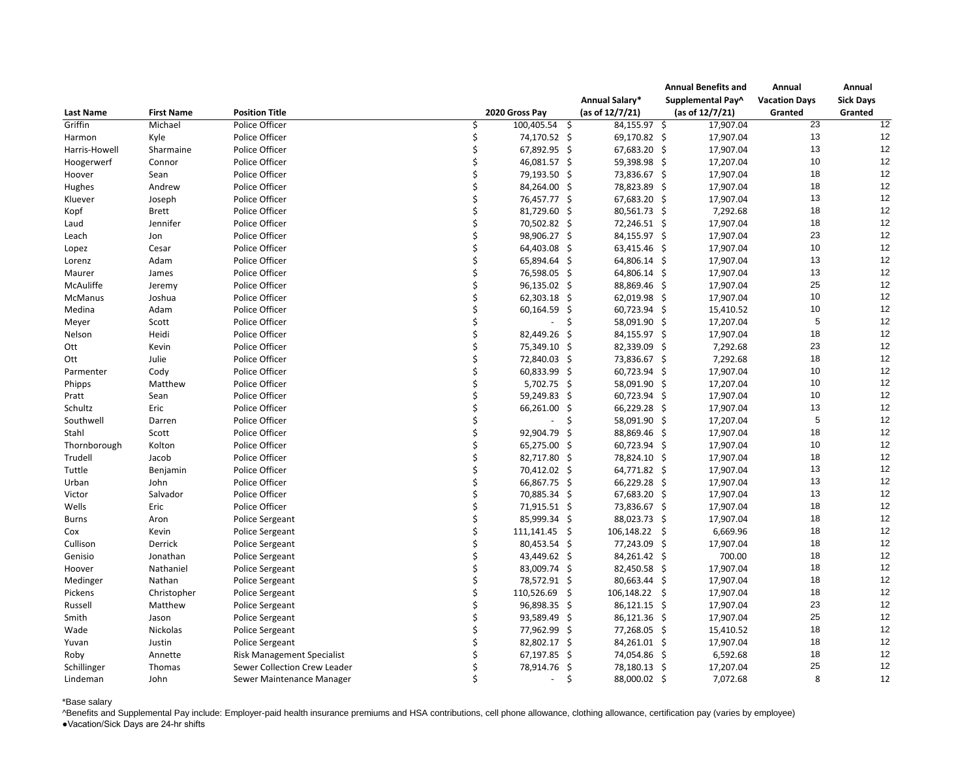|                  |                   |                                   |                 |              |                    | <b>Annual Benefits and</b> | Annual               | Annual           |
|------------------|-------------------|-----------------------------------|-----------------|--------------|--------------------|----------------------------|----------------------|------------------|
| <b>Last Name</b> |                   |                                   |                 |              | Annual Salary*     | Supplemental Pay^          | <b>Vacation Days</b> | <b>Sick Days</b> |
|                  | <b>First Name</b> | <b>Position Title</b>             | 2020 Gross Pay  |              | (as of $12/7/21$ ) | (as of $12/7/21$ )         | Granted              | Granted          |
| Griffin          | Michael           | Police Officer                    | 100,405.54 \$   |              | 84,155.97 \$       | 17,907.04                  | $\overline{23}$      | 12               |
| Harmon           | Kyle              | Police Officer                    | 74,170.52 \$    |              | 69,170.82 \$       | 17,907.04                  | 13                   | 12               |
| Harris-Howell    | Sharmaine         | Police Officer                    | 67,892.95 \$    |              | 67,683.20 \$       | 17,907.04                  | 13                   | 12               |
| Hoogerwerf       | Connor            | Police Officer                    | 46,081.57 \$    |              | 59,398.98 \$       | 17,207.04                  | 10                   | 12               |
| Hoover           | Sean              | Police Officer                    | 79,193.50 \$    |              | 73,836.67 \$       | 17,907.04                  | 18                   | 12               |
| Hughes           | Andrew            | Police Officer                    | 84,264.00 \$    |              | 78,823.89 \$       | 17,907.04                  | 18                   | 12               |
| Kluever          | Joseph            | Police Officer                    | 76,457.77 \$    |              | 67,683.20 \$       | 17,907.04                  | 13                   | 12               |
| Kopf             | <b>Brett</b>      | Police Officer                    | 81,729.60 \$    |              | 80,561.73 \$       | 7,292.68                   | 18                   | 12               |
| Laud             | Jennifer          | Police Officer                    | 70,502.82 \$    |              | 72,246.51 \$       | 17,907.04                  | 18                   | 12               |
| Leach            | Jon               | Police Officer                    | 98,906.27 \$    |              | 84,155.97 \$       | 17,907.04                  | 23                   | 12               |
| Lopez            | Cesar             | Police Officer                    | 64,403.08 \$    |              | 63,415.46 \$       | 17,907.04                  | 10                   | 12               |
| Lorenz           | Adam              | Police Officer                    | 65,894.64 \$    |              | 64,806.14 \$       | 17,907.04                  | 13                   | 12               |
| Maurer           | James             | Police Officer                    | 76,598.05 \$    |              | 64,806.14 \$       | 17,907.04                  | 13                   | 12               |
| McAuliffe        | Jeremy            | Police Officer                    | 96,135.02 \$    |              | 88,869.46 \$       | 17,907.04                  | 25                   | 12               |
| McManus          | Joshua            | Police Officer                    | $62,303.18$ \$  |              | 62,019.98 \$       | 17,907.04                  | 10                   | 12               |
| Medina           | Adam              | Police Officer                    | 60,164.59 \$    |              | 60,723.94 \$       | 15,410.52                  | 10                   | 12               |
| Meyer            | Scott             | Police Officer                    |                 |              | 58,091.90 \$       | 17,207.04                  | 5                    | 12               |
| Nelson           | Heidi             | Police Officer                    | 82,449.26 \$    |              | 84,155.97 \$       | 17,907.04                  | 18                   | 12               |
| Ott              | Kevin             | Police Officer                    | 75,349.10 \$    |              | 82,339.09 \$       | 7,292.68                   | 23                   | 12               |
| Ott              | Julie             | Police Officer                    | 72,840.03 \$    |              | 73,836.67 \$       | 7,292.68                   | 18                   | 12               |
| Parmenter        | Cody              | Police Officer                    | 60,833.99 \$    |              | 60,723.94 \$       | 17,907.04                  | 10                   | 12               |
| Phipps           | Matthew           | Police Officer                    | $5,702.75$ \$   |              | 58,091.90 \$       | 17,207.04                  | 10                   | 12               |
| Pratt            | Sean              | Police Officer                    | 59,249.83 \$    |              | 60,723.94 \$       | 17,907.04                  | 10                   | 12               |
| Schultz          | Eric              | Police Officer                    | 66,261.00 \$    |              | 66,229.28 \$       | 17,907.04                  | 13                   | 12               |
| Southwell        | Darren            | Police Officer                    |                 |              | 58,091.90 \$       | 17,207.04                  | 5                    | 12               |
| Stahl            | Scott             | Police Officer                    | 92,904.79 \$    |              | 88,869.46 \$       | 17,907.04                  | 18                   | 12               |
| Thornborough     | Kolton            | Police Officer                    | 65,275.00 \$    |              | 60,723.94 \$       | 17,907.04                  | 10                   | 12               |
| Trudell          | Jacob             | Police Officer                    | 82,717.80 \$    |              | 78,824.10 \$       | 17,907.04                  | 18                   | 12               |
| Tuttle           | Benjamin          | Police Officer                    | 70,412.02 \$    |              | 64,771.82 \$       | 17,907.04                  | 13                   | 12               |
| Urban            | John              | Police Officer                    | 66,867.75 \$    |              | 66,229.28 \$       | 17,907.04                  | 13                   | 12               |
| Victor           | Salvador          | Police Officer                    | 70,885.34 \$    |              | 67,683.20 \$       | 17,907.04                  | 13                   | 12               |
| Wells            | Eric              | Police Officer                    | 71,915.51 \$    |              | 73,836.67 \$       | 17,907.04                  | 18                   | 12               |
| Burns            | Aron              | Police Sergeant                   | 85,999.34 \$    |              | 88,023.73 \$       | 17,907.04                  | 18                   | 12               |
| Cox              | Kevin             | <b>Police Sergeant</b>            | $111,141.45$ \$ |              | 106,148.22 \$      | 6,669.96                   | 18                   | 12               |
| Cullison         | Derrick           | Police Sergeant                   | 80,453.54 \$    |              | 77,243.09 \$       | 17,907.04                  | 18                   | 12               |
| Genisio          | Jonathan          | <b>Police Sergeant</b>            | 43,449.62 \$    |              | 84,261.42 \$       | 700.00                     | 18                   | 12               |
| Hoover           | Nathaniel         | Police Sergeant                   | 83,009.74 \$    |              | 82,450.58 \$       | 17,907.04                  | 18                   | 12               |
| Medinger         | Nathan            | Police Sergeant                   | 78,572.91 \$    |              | 80,663.44 \$       | 17,907.04                  | 18                   | 12               |
| Pickens          | Christopher       | <b>Police Sergeant</b>            | 110,526.69 \$   |              | 106,148.22         | 17,907.04                  | 18                   | 12               |
| Russell          | Matthew           | Police Sergeant                   | 96,898.35 \$    |              | 86,121.15 \$       | 17,907.04                  | 23                   | 12               |
| Smith            | Jason             | Police Sergeant                   | 93,589.49 \$    |              | 86,121.36 \$       | 17,907.04                  | 25                   | 12               |
| Wade             | Nickolas          | Police Sergeant                   | 77,962.99 \$    |              | 77,268.05 \$       | 15,410.52                  | 18                   | 12               |
| Yuvan            | Justin            | Police Sergeant                   | 82,802.17 \$    |              | 84,261.01 \$       | 17,907.04                  | 18                   | 12               |
| Roby             | Annette           | <b>Risk Management Specialist</b> | 67,197.85 \$    |              | 74,054.86 \$       | 6,592.68                   | 18                   | 12               |
| Schillinger      | Thomas            | Sewer Collection Crew Leader      | 78,914.76 \$    |              | 78,180.13 \$       | 17,207.04                  | 25                   | 12               |
| Lindeman         | John              | Sewer Maintenance Manager         |                 | <sup>S</sup> | 88,000.02 \$       | 7,072.68                   | 8                    | 12               |

## \*Base salary